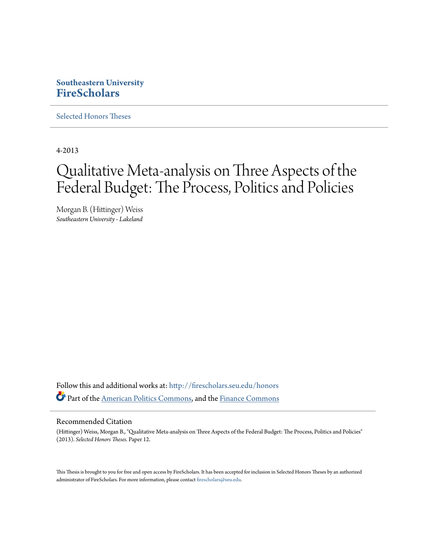# **Southeastern University [FireScholars](http://firescholars.seu.edu?utm_source=firescholars.seu.edu%2Fhonors%2F12&utm_medium=PDF&utm_campaign=PDFCoverPages)**

[Selected Honors Theses](http://firescholars.seu.edu/honors?utm_source=firescholars.seu.edu%2Fhonors%2F12&utm_medium=PDF&utm_campaign=PDFCoverPages)

4-2013

# Qualitative Meta-analysis on Three Aspects of the Federal Budget: The Process, Politics and Policies

Morgan B. (Hittinger) Weiss *Southeastern University - Lakeland*

Follow this and additional works at: [http://firescholars.seu.edu/honors](http://firescholars.seu.edu/honors?utm_source=firescholars.seu.edu%2Fhonors%2F12&utm_medium=PDF&utm_campaign=PDFCoverPages) Part of the [American Politics Commons](http://network.bepress.com/hgg/discipline/387?utm_source=firescholars.seu.edu%2Fhonors%2F12&utm_medium=PDF&utm_campaign=PDFCoverPages), and the [Finance Commons](http://network.bepress.com/hgg/discipline/345?utm_source=firescholars.seu.edu%2Fhonors%2F12&utm_medium=PDF&utm_campaign=PDFCoverPages)

#### Recommended Citation

(Hittinger) Weiss, Morgan B., "Qualitative Meta-analysis on Three Aspects of the Federal Budget: The Process, Politics and Policies" (2013). *Selected Honors Theses.* Paper 12.

This Thesis is brought to you for free and open access by FireScholars. It has been accepted for inclusion in Selected Honors Theses by an authorized administrator of FireScholars. For more information, please contact [firescholars@seu.edu](mailto:firescholars@seu.edu).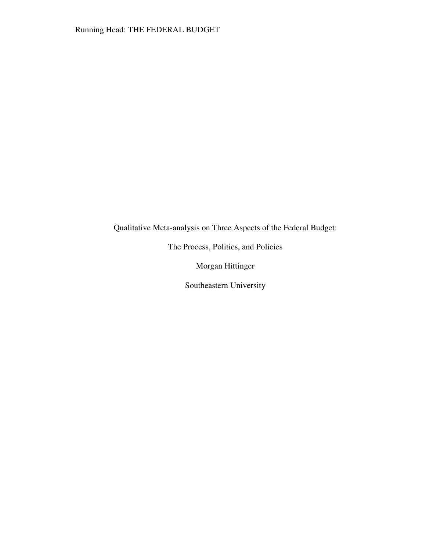Qualitative Meta-analysis on Three Aspects of the Federal Budget:

The Process, Politics, and Policies

Morgan Hittinger

Southeastern University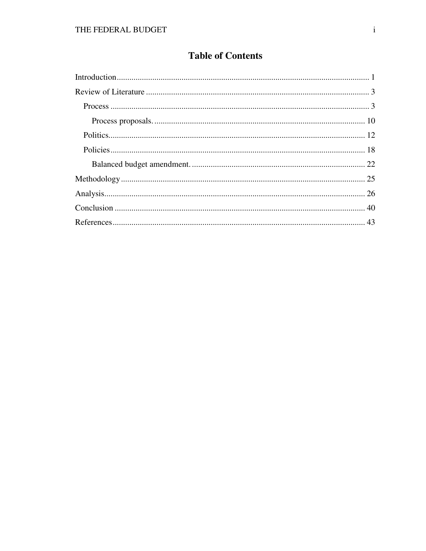# **Table of Contents**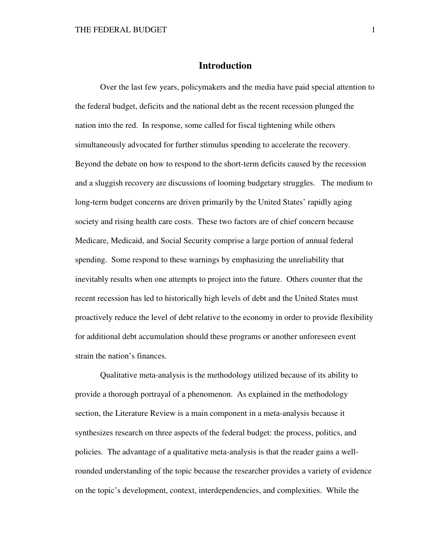## **Introduction**

Over the last few years, policymakers and the media have paid special attention to the federal budget, deficits and the national debt as the recent recession plunged the nation into the red. In response, some called for fiscal tightening while others simultaneously advocated for further stimulus spending to accelerate the recovery. Beyond the debate on how to respond to the short-term deficits caused by the recession and a sluggish recovery are discussions of looming budgetary struggles. The medium to long-term budget concerns are driven primarily by the United States' rapidly aging society and rising health care costs. These two factors are of chief concern because Medicare, Medicaid, and Social Security comprise a large portion of annual federal spending. Some respond to these warnings by emphasizing the unreliability that inevitably results when one attempts to project into the future. Others counter that the recent recession has led to historically high levels of debt and the United States must proactively reduce the level of debt relative to the economy in order to provide flexibility for additional debt accumulation should these programs or another unforeseen event strain the nation's finances.

Qualitative meta-analysis is the methodology utilized because of its ability to provide a thorough portrayal of a phenomenon. As explained in the methodology section, the Literature Review is a main component in a meta-analysis because it synthesizes research on three aspects of the federal budget: the process, politics, and policies. The advantage of a qualitative meta-analysis is that the reader gains a wellrounded understanding of the topic because the researcher provides a variety of evidence on the topic's development, context, interdependencies, and complexities. While the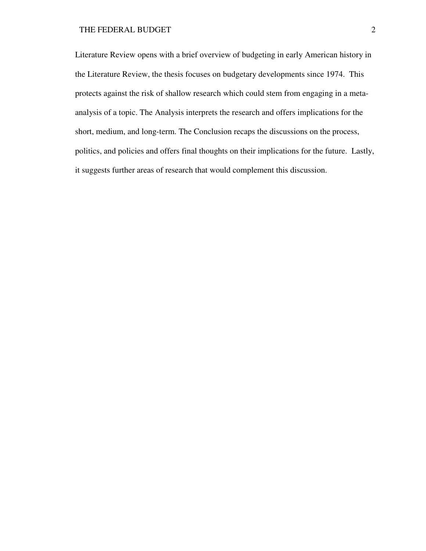#### THE FEDERAL BUDGET 2

Literature Review opens with a brief overview of budgeting in early American history in the Literature Review, the thesis focuses on budgetary developments since 1974. This protects against the risk of shallow research which could stem from engaging in a metaanalysis of a topic. The Analysis interprets the research and offers implications for the short, medium, and long-term. The Conclusion recaps the discussions on the process, politics, and policies and offers final thoughts on their implications for the future. Lastly, it suggests further areas of research that would complement this discussion.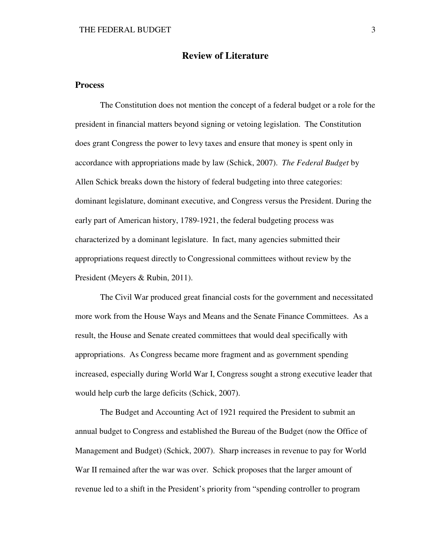# **Review of Literature**

#### **Process**

The Constitution does not mention the concept of a federal budget or a role for the president in financial matters beyond signing or vetoing legislation. The Constitution does grant Congress the power to levy taxes and ensure that money is spent only in accordance with appropriations made by law (Schick, 2007). *The Federal Budget* by Allen Schick breaks down the history of federal budgeting into three categories: dominant legislature, dominant executive, and Congress versus the President. During the early part of American history, 1789-1921, the federal budgeting process was characterized by a dominant legislature. In fact, many agencies submitted their appropriations request directly to Congressional committees without review by the President (Meyers & Rubin, 2011).

 The Civil War produced great financial costs for the government and necessitated more work from the House Ways and Means and the Senate Finance Committees. As a result, the House and Senate created committees that would deal specifically with appropriations. As Congress became more fragment and as government spending increased, especially during World War I, Congress sought a strong executive leader that would help curb the large deficits (Schick, 2007).

The Budget and Accounting Act of 1921 required the President to submit an annual budget to Congress and established the Bureau of the Budget (now the Office of Management and Budget) (Schick, 2007). Sharp increases in revenue to pay for World War II remained after the war was over. Schick proposes that the larger amount of revenue led to a shift in the President's priority from "spending controller to program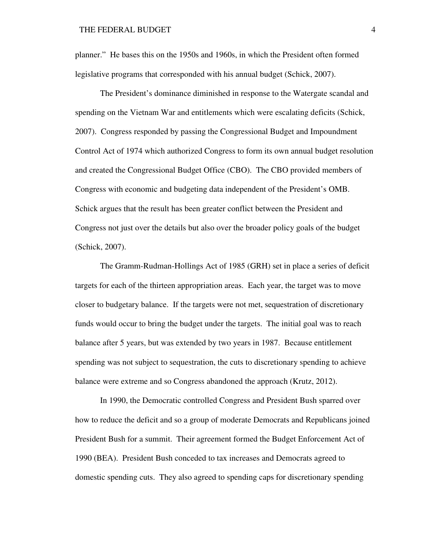planner." He bases this on the 1950s and 1960s, in which the President often formed legislative programs that corresponded with his annual budget (Schick, 2007).

The President's dominance diminished in response to the Watergate scandal and spending on the Vietnam War and entitlements which were escalating deficits (Schick, 2007). Congress responded by passing the Congressional Budget and Impoundment Control Act of 1974 which authorized Congress to form its own annual budget resolution and created the Congressional Budget Office (CBO). The CBO provided members of Congress with economic and budgeting data independent of the President's OMB. Schick argues that the result has been greater conflict between the President and Congress not just over the details but also over the broader policy goals of the budget (Schick, 2007).

 The Gramm-Rudman-Hollings Act of 1985 (GRH) set in place a series of deficit targets for each of the thirteen appropriation areas. Each year, the target was to move closer to budgetary balance. If the targets were not met, sequestration of discretionary funds would occur to bring the budget under the targets. The initial goal was to reach balance after 5 years, but was extended by two years in 1987. Because entitlement spending was not subject to sequestration, the cuts to discretionary spending to achieve balance were extreme and so Congress abandoned the approach (Krutz, 2012).

 In 1990, the Democratic controlled Congress and President Bush sparred over how to reduce the deficit and so a group of moderate Democrats and Republicans joined President Bush for a summit. Their agreement formed the Budget Enforcement Act of 1990 (BEA). President Bush conceded to tax increases and Democrats agreed to domestic spending cuts. They also agreed to spending caps for discretionary spending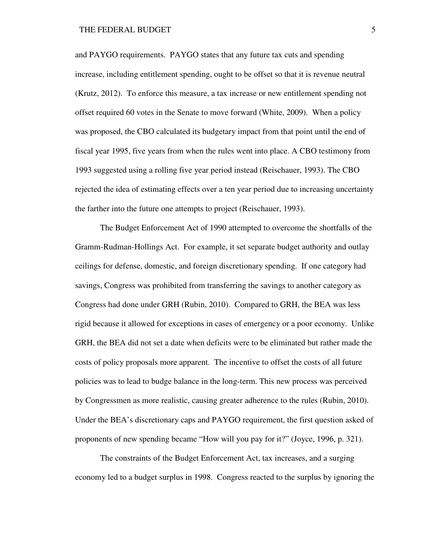and PAYGO requirements. PAYGO states that any future tax cuts and spending increase, including entitlement spending, ought to be offset so that it is revenue neutral (Krutz, 2012). To enforce this measure, a tax increase or new entitlement spending not offset required 60 votes in the Senate to move forward (White, 2009). When a policy was proposed, the CBO calculated its budgetary impact from that point until the end of fiscal year 1995, five years from when the rules went into place. A CBO testimony from 1993 suggested using a rolling five year period instead (Reischauer, 1993). The CBO rejected the idea of estimating effects over a ten year period due to increasing uncertainty the farther into the future one attempts to project (Reischauer, 1993).

The Budget Enforcement Act of 1990 attempted to overcome the shortfalls of the Gramm-Rudman-Hollings Act. For example, it set separate budget authority and outlay ceilings for defense, domestic, and foreign discretionary spending. If one category had savings, Congress was prohibited from transferring the savings to another category as Congress had done under GRH (Rubin, 2010). Compared to GRH, the BEA was less rigid because it allowed for exceptions in cases of emergency or a poor economy. Unlike GRH, the BEA did not set a date when deficits were to be eliminated but rather made the costs of policy proposals more apparent. The incentive to offset the costs of all future policies was to lead to budge balance in the long-term. This new process was perceived by Congressmen as more realistic, causing greater adherence to the rules (Rubin, 2010). Under the BEA's discretionary caps and PAYGO requirement, the first question asked of proponents of new spending became "How will you pay for it?" (Joyce, 1996, p. 321).

The constraints of the Budget Enforcement Act, tax increases, and a surging economy led to a budget surplus in 1998. Congress reacted to the surplus by ignoring the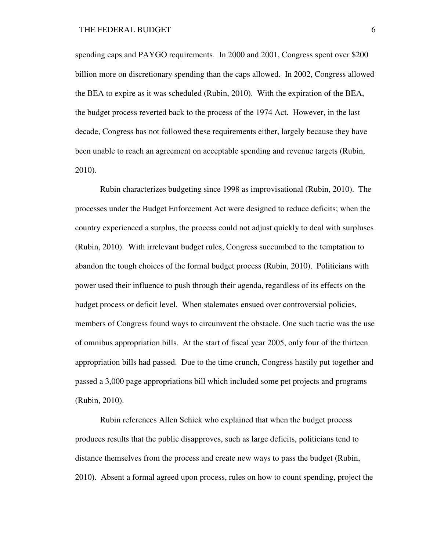spending caps and PAYGO requirements. In 2000 and 2001, Congress spent over \$200 billion more on discretionary spending than the caps allowed. In 2002, Congress allowed the BEA to expire as it was scheduled (Rubin, 2010). With the expiration of the BEA, the budget process reverted back to the process of the 1974 Act. However, in the last decade, Congress has not followed these requirements either, largely because they have been unable to reach an agreement on acceptable spending and revenue targets (Rubin, 2010).

Rubin characterizes budgeting since 1998 as improvisational (Rubin, 2010). The processes under the Budget Enforcement Act were designed to reduce deficits; when the country experienced a surplus, the process could not adjust quickly to deal with surpluses (Rubin, 2010). With irrelevant budget rules, Congress succumbed to the temptation to abandon the tough choices of the formal budget process (Rubin, 2010). Politicians with power used their influence to push through their agenda, regardless of its effects on the budget process or deficit level. When stalemates ensued over controversial policies, members of Congress found ways to circumvent the obstacle. One such tactic was the use of omnibus appropriation bills. At the start of fiscal year 2005, only four of the thirteen appropriation bills had passed. Due to the time crunch, Congress hastily put together and passed a 3,000 page appropriations bill which included some pet projects and programs (Rubin, 2010).

Rubin references Allen Schick who explained that when the budget process produces results that the public disapproves, such as large deficits, politicians tend to distance themselves from the process and create new ways to pass the budget (Rubin, 2010). Absent a formal agreed upon process, rules on how to count spending, project the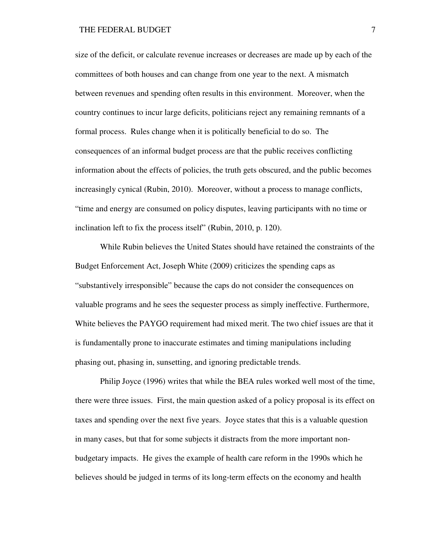size of the deficit, or calculate revenue increases or decreases are made up by each of the committees of both houses and can change from one year to the next. A mismatch between revenues and spending often results in this environment. Moreover, when the country continues to incur large deficits, politicians reject any remaining remnants of a formal process. Rules change when it is politically beneficial to do so. The consequences of an informal budget process are that the public receives conflicting information about the effects of policies, the truth gets obscured, and the public becomes increasingly cynical (Rubin, 2010). Moreover, without a process to manage conflicts, "time and energy are consumed on policy disputes, leaving participants with no time or inclination left to fix the process itself" (Rubin, 2010, p. 120).

While Rubin believes the United States should have retained the constraints of the Budget Enforcement Act, Joseph White (2009) criticizes the spending caps as "substantively irresponsible" because the caps do not consider the consequences on valuable programs and he sees the sequester process as simply ineffective. Furthermore, White believes the PAYGO requirement had mixed merit. The two chief issues are that it is fundamentally prone to inaccurate estimates and timing manipulations including phasing out, phasing in, sunsetting, and ignoring predictable trends.

Philip Joyce (1996) writes that while the BEA rules worked well most of the time, there were three issues. First, the main question asked of a policy proposal is its effect on taxes and spending over the next five years. Joyce states that this is a valuable question in many cases, but that for some subjects it distracts from the more important nonbudgetary impacts. He gives the example of health care reform in the 1990s which he believes should be judged in terms of its long-term effects on the economy and health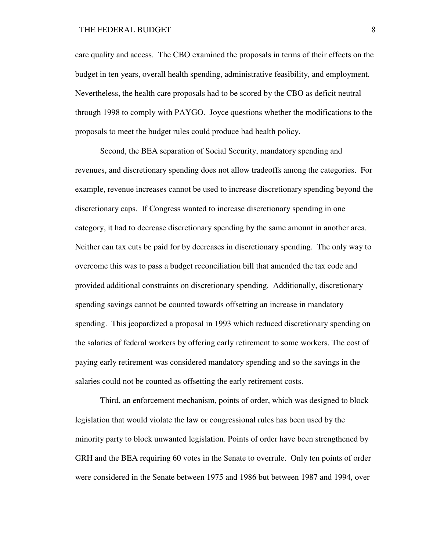#### THE FEDERAL BUDGET 8

care quality and access. The CBO examined the proposals in terms of their effects on the budget in ten years, overall health spending, administrative feasibility, and employment. Nevertheless, the health care proposals had to be scored by the CBO as deficit neutral through 1998 to comply with PAYGO. Joyce questions whether the modifications to the proposals to meet the budget rules could produce bad health policy.

Second, the BEA separation of Social Security, mandatory spending and revenues, and discretionary spending does not allow tradeoffs among the categories. For example, revenue increases cannot be used to increase discretionary spending beyond the discretionary caps. If Congress wanted to increase discretionary spending in one category, it had to decrease discretionary spending by the same amount in another area. Neither can tax cuts be paid for by decreases in discretionary spending. The only way to overcome this was to pass a budget reconciliation bill that amended the tax code and provided additional constraints on discretionary spending. Additionally, discretionary spending savings cannot be counted towards offsetting an increase in mandatory spending. This jeopardized a proposal in 1993 which reduced discretionary spending on the salaries of federal workers by offering early retirement to some workers. The cost of paying early retirement was considered mandatory spending and so the savings in the salaries could not be counted as offsetting the early retirement costs.

Third, an enforcement mechanism, points of order, which was designed to block legislation that would violate the law or congressional rules has been used by the minority party to block unwanted legislation. Points of order have been strengthened by GRH and the BEA requiring 60 votes in the Senate to overrule. Only ten points of order were considered in the Senate between 1975 and 1986 but between 1987 and 1994, over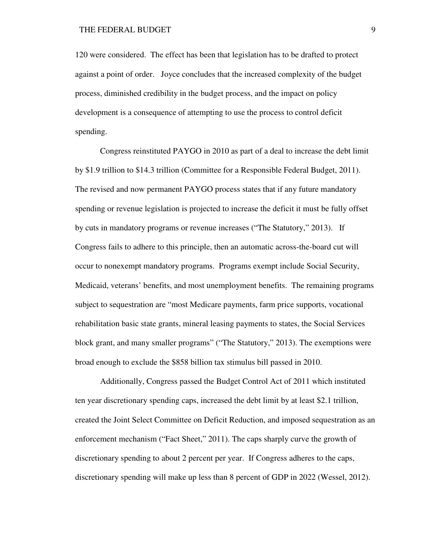120 were considered. The effect has been that legislation has to be drafted to protect against a point of order. Joyce concludes that the increased complexity of the budget process, diminished credibility in the budget process, and the impact on policy development is a consequence of attempting to use the process to control deficit spending.

Congress reinstituted PAYGO in 2010 as part of a deal to increase the debt limit by \$1.9 trillion to \$14.3 trillion (Committee for a Responsible Federal Budget, 2011). The revised and now permanent PAYGO process states that if any future mandatory spending or revenue legislation is projected to increase the deficit it must be fully offset by cuts in mandatory programs or revenue increases ("The Statutory," 2013). If Congress fails to adhere to this principle, then an automatic across-the-board cut will occur to nonexempt mandatory programs. Programs exempt include Social Security, Medicaid, veterans' benefits, and most unemployment benefits. The remaining programs subject to sequestration are "most Medicare payments, farm price supports, vocational rehabilitation basic state grants, mineral leasing payments to states, the Social Services block grant, and many smaller programs" ("The Statutory," 2013). The exemptions were broad enough to exclude the \$858 billion tax stimulus bill passed in 2010.

Additionally, Congress passed the Budget Control Act of 2011 which instituted ten year discretionary spending caps, increased the debt limit by at least \$2.1 trillion, created the Joint Select Committee on Deficit Reduction, and imposed sequestration as an enforcement mechanism ("Fact Sheet," 2011). The caps sharply curve the growth of discretionary spending to about 2 percent per year. If Congress adheres to the caps, discretionary spending will make up less than 8 percent of GDP in 2022 (Wessel, 2012).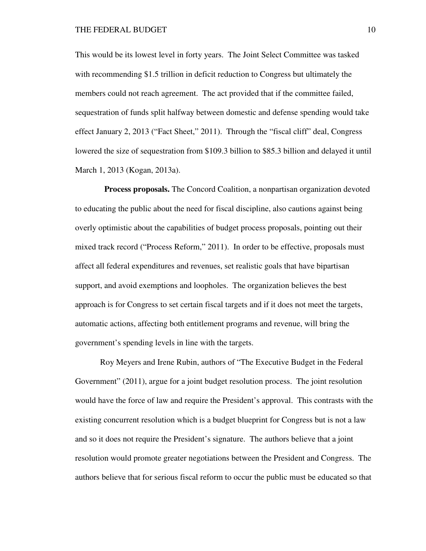This would be its lowest level in forty years. The Joint Select Committee was tasked with recommending \$1.5 trillion in deficit reduction to Congress but ultimately the members could not reach agreement. The act provided that if the committee failed, sequestration of funds split halfway between domestic and defense spending would take effect January 2, 2013 ("Fact Sheet," 2011). Through the "fiscal cliff" deal, Congress lowered the size of sequestration from \$109.3 billion to \$85.3 billion and delayed it until March 1, 2013 (Kogan, 2013a).

 **Process proposals.** The Concord Coalition, a nonpartisan organization devoted to educating the public about the need for fiscal discipline, also cautions against being overly optimistic about the capabilities of budget process proposals, pointing out their mixed track record ("Process Reform," 2011). In order to be effective, proposals must affect all federal expenditures and revenues, set realistic goals that have bipartisan support, and avoid exemptions and loopholes. The organization believes the best approach is for Congress to set certain fiscal targets and if it does not meet the targets, automatic actions, affecting both entitlement programs and revenue, will bring the government's spending levels in line with the targets.

Roy Meyers and Irene Rubin, authors of "The Executive Budget in the Federal Government" (2011), argue for a joint budget resolution process. The joint resolution would have the force of law and require the President's approval. This contrasts with the existing concurrent resolution which is a budget blueprint for Congress but is not a law and so it does not require the President's signature. The authors believe that a joint resolution would promote greater negotiations between the President and Congress. The authors believe that for serious fiscal reform to occur the public must be educated so that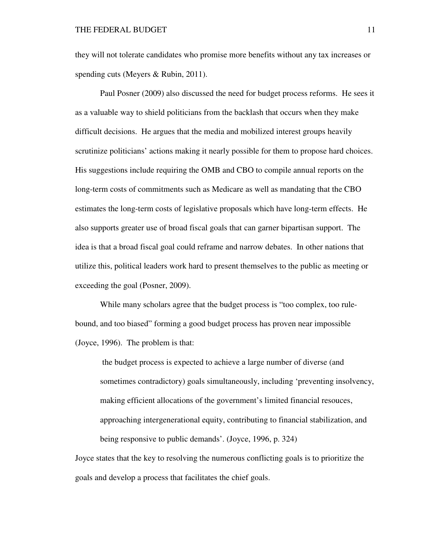they will not tolerate candidates who promise more benefits without any tax increases or spending cuts (Meyers & Rubin, 2011).

Paul Posner (2009) also discussed the need for budget process reforms. He sees it as a valuable way to shield politicians from the backlash that occurs when they make difficult decisions. He argues that the media and mobilized interest groups heavily scrutinize politicians' actions making it nearly possible for them to propose hard choices. His suggestions include requiring the OMB and CBO to compile annual reports on the long-term costs of commitments such as Medicare as well as mandating that the CBO estimates the long-term costs of legislative proposals which have long-term effects. He also supports greater use of broad fiscal goals that can garner bipartisan support. The idea is that a broad fiscal goal could reframe and narrow debates. In other nations that utilize this, political leaders work hard to present themselves to the public as meeting or exceeding the goal (Posner, 2009).

While many scholars agree that the budget process is "too complex, too rulebound, and too biased" forming a good budget process has proven near impossible (Joyce, 1996). The problem is that:

the budget process is expected to achieve a large number of diverse (and sometimes contradictory) goals simultaneously, including 'preventing insolvency, making efficient allocations of the government's limited financial resouces, approaching intergenerational equity, contributing to financial stabilization, and being responsive to public demands'. (Joyce, 1996, p. 324)

Joyce states that the key to resolving the numerous conflicting goals is to prioritize the goals and develop a process that facilitates the chief goals.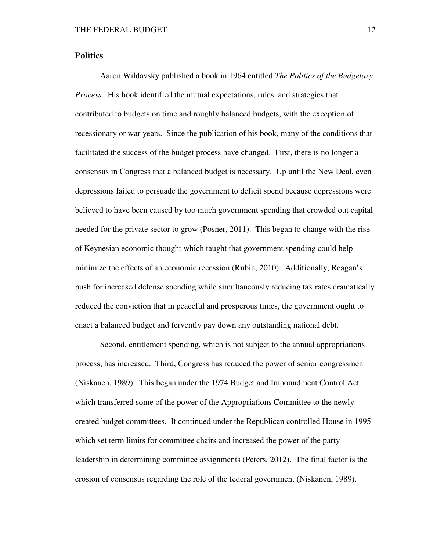#### **Politics**

Aaron Wildavsky published a book in 1964 entitled *The Politics of the Budgetary Process*. His book identified the mutual expectations, rules, and strategies that contributed to budgets on time and roughly balanced budgets, with the exception of recessionary or war years. Since the publication of his book, many of the conditions that facilitated the success of the budget process have changed. First, there is no longer a consensus in Congress that a balanced budget is necessary. Up until the New Deal, even depressions failed to persuade the government to deficit spend because depressions were believed to have been caused by too much government spending that crowded out capital needed for the private sector to grow (Posner, 2011). This began to change with the rise of Keynesian economic thought which taught that government spending could help minimize the effects of an economic recession (Rubin, 2010). Additionally, Reagan's push for increased defense spending while simultaneously reducing tax rates dramatically reduced the conviction that in peaceful and prosperous times, the government ought to enact a balanced budget and fervently pay down any outstanding national debt.

Second, entitlement spending, which is not subject to the annual appropriations process, has increased. Third, Congress has reduced the power of senior congressmen (Niskanen, 1989). This began under the 1974 Budget and Impoundment Control Act which transferred some of the power of the Appropriations Committee to the newly created budget committees. It continued under the Republican controlled House in 1995 which set term limits for committee chairs and increased the power of the party leadership in determining committee assignments (Peters, 2012). The final factor is the erosion of consensus regarding the role of the federal government (Niskanen, 1989).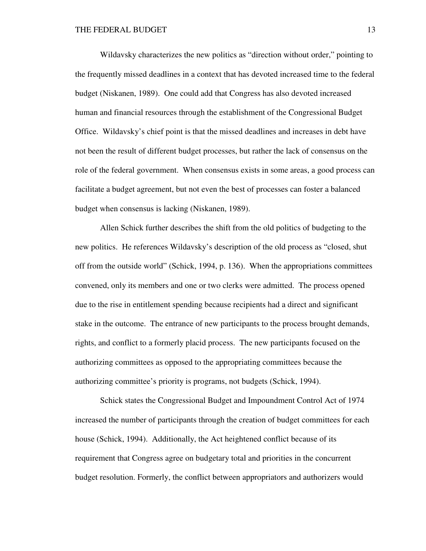Wildavsky characterizes the new politics as "direction without order," pointing to the frequently missed deadlines in a context that has devoted increased time to the federal budget (Niskanen, 1989). One could add that Congress has also devoted increased human and financial resources through the establishment of the Congressional Budget Office. Wildavsky's chief point is that the missed deadlines and increases in debt have not been the result of different budget processes, but rather the lack of consensus on the role of the federal government. When consensus exists in some areas, a good process can facilitate a budget agreement, but not even the best of processes can foster a balanced budget when consensus is lacking (Niskanen, 1989).

 Allen Schick further describes the shift from the old politics of budgeting to the new politics. He references Wildavsky's description of the old process as "closed, shut off from the outside world" (Schick, 1994, p. 136). When the appropriations committees convened, only its members and one or two clerks were admitted. The process opened due to the rise in entitlement spending because recipients had a direct and significant stake in the outcome. The entrance of new participants to the process brought demands, rights, and conflict to a formerly placid process. The new participants focused on the authorizing committees as opposed to the appropriating committees because the authorizing committee's priority is programs, not budgets (Schick, 1994).

Schick states the Congressional Budget and Impoundment Control Act of 1974 increased the number of participants through the creation of budget committees for each house (Schick, 1994). Additionally, the Act heightened conflict because of its requirement that Congress agree on budgetary total and priorities in the concurrent budget resolution. Formerly, the conflict between appropriators and authorizers would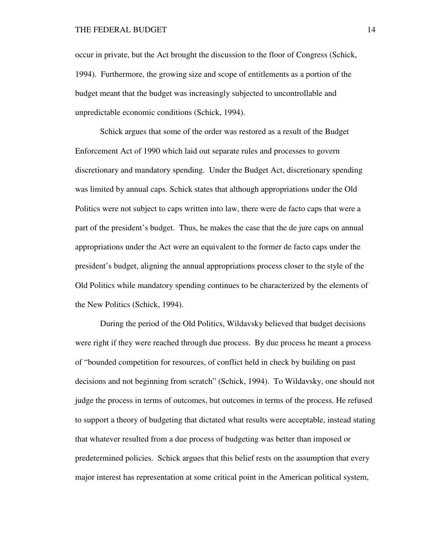occur in private, but the Act brought the discussion to the floor of Congress (Schick, 1994). Furthermore, the growing size and scope of entitlements as a portion of the budget meant that the budget was increasingly subjected to uncontrollable and unpredictable economic conditions (Schick, 1994).

Schick argues that some of the order was restored as a result of the Budget Enforcement Act of 1990 which laid out separate rules and processes to govern discretionary and mandatory spending. Under the Budget Act, discretionary spending was limited by annual caps. Schick states that although appropriations under the Old Politics were not subject to caps written into law, there were de facto caps that were a part of the president's budget. Thus, he makes the case that the de jure caps on annual appropriations under the Act were an equivalent to the former de facto caps under the president's budget, aligning the annual appropriations process closer to the style of the Old Politics while mandatory spending continues to be characterized by the elements of the New Politics (Schick, 1994).

During the period of the Old Politics, Wildavsky believed that budget decisions were right if they were reached through due process. By due process he meant a process of "bounded competition for resources, of conflict held in check by building on past decisions and not beginning from scratch" (Schick, 1994). To Wildavsky, one should not judge the process in terms of outcomes, but outcomes in terms of the process. He refused to support a theory of budgeting that dictated what results were acceptable, instead stating that whatever resulted from a due process of budgeting was better than imposed or predetermined policies. Schick argues that this belief rests on the assumption that every major interest has representation at some critical point in the American political system,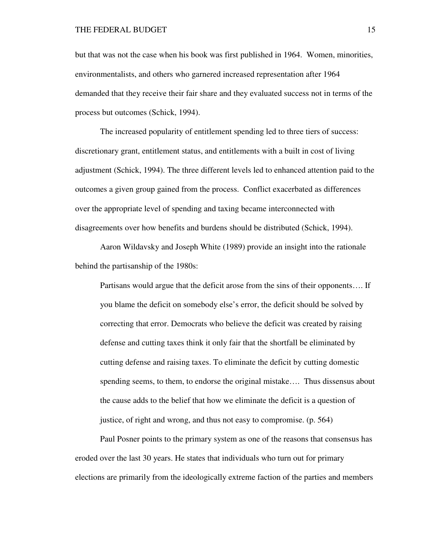but that was not the case when his book was first published in 1964. Women, minorities, environmentalists, and others who garnered increased representation after 1964 demanded that they receive their fair share and they evaluated success not in terms of the process but outcomes (Schick, 1994).

The increased popularity of entitlement spending led to three tiers of success: discretionary grant, entitlement status, and entitlements with a built in cost of living adjustment (Schick, 1994). The three different levels led to enhanced attention paid to the outcomes a given group gained from the process. Conflict exacerbated as differences over the appropriate level of spending and taxing became interconnected with disagreements over how benefits and burdens should be distributed (Schick, 1994).

Aaron Wildavsky and Joseph White (1989) provide an insight into the rationale behind the partisanship of the 1980s:

Partisans would argue that the deficit arose from the sins of their opponents…. If you blame the deficit on somebody else's error, the deficit should be solved by correcting that error. Democrats who believe the deficit was created by raising defense and cutting taxes think it only fair that the shortfall be eliminated by cutting defense and raising taxes. To eliminate the deficit by cutting domestic spending seems, to them, to endorse the original mistake…. Thus dissensus about the cause adds to the belief that how we eliminate the deficit is a question of justice, of right and wrong, and thus not easy to compromise. (p. 564)

Paul Posner points to the primary system as one of the reasons that consensus has eroded over the last 30 years. He states that individuals who turn out for primary elections are primarily from the ideologically extreme faction of the parties and members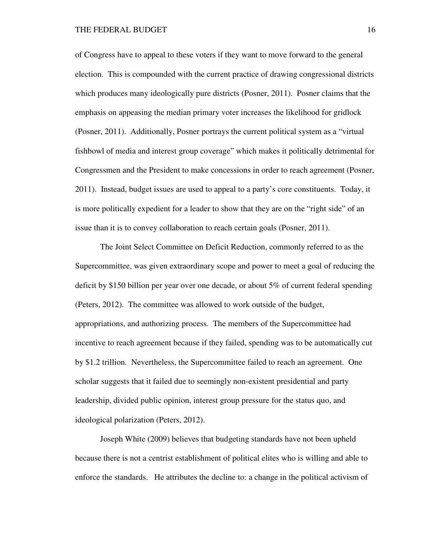#### THE FEDERAL BUDGET 16

of Congress have to appeal to these voters if they want to move forward to the general election. This is compounded with the current practice of drawing congressional districts which produces many ideologically pure districts (Posner, 2011). Posner claims that the emphasis on appeasing the median primary voter increases the likelihood for gridlock (Posner, 2011). Additionally, Posner portrays the current political system as a "virtual fishbowl of media and interest group coverage" which makes it politically detrimental for Congressmen and the President to make concessions in order to reach agreement (Posner, 2011). Instead, budget issues are used to appeal to a party's core constituents. Today, it is more politically expedient for a leader to show that they are on the "right side" of an issue than it is to convey collaboration to reach certain goals (Posner, 2011).

The Joint Select Committee on Deficit Reduction, commonly referred to as the Supercommittee, was given extraordinary scope and power to meet a goal of reducing the deficit by \$150 billion per year over one decade, or about 5% of current federal spending (Peters, 2012). The committee was allowed to work outside of the budget, appropriations, and authorizing process. The members of the Supercommittee had incentive to reach agreement because if they failed, spending was to be automatically cut by \$1.2 trillion. Nevertheless, the Supercommittee failed to reach an agreement. One scholar suggests that it failed due to seemingly non-existent presidential and party leadership, divided public opinion, interest group pressure for the status quo, and ideological polarization (Peters, 2012).

Joseph White (2009) believes that budgeting standards have not been upheld because there is not a centrist establishment of political elites who is willing and able to enforce the standards. He attributes the decline to: a change in the political activism of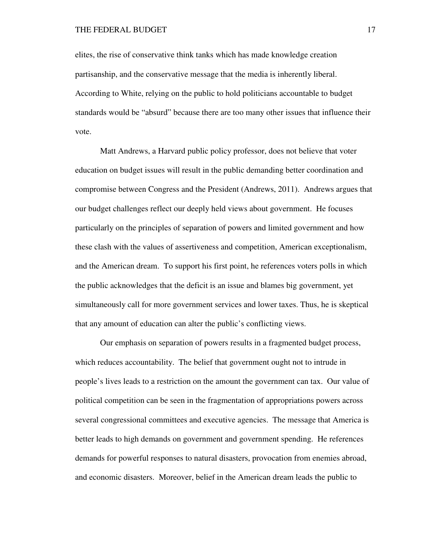elites, the rise of conservative think tanks which has made knowledge creation partisanship, and the conservative message that the media is inherently liberal. According to White, relying on the public to hold politicians accountable to budget standards would be "absurd" because there are too many other issues that influence their vote.

Matt Andrews, a Harvard public policy professor, does not believe that voter education on budget issues will result in the public demanding better coordination and compromise between Congress and the President (Andrews, 2011). Andrews argues that our budget challenges reflect our deeply held views about government. He focuses particularly on the principles of separation of powers and limited government and how these clash with the values of assertiveness and competition, American exceptionalism, and the American dream. To support his first point, he references voters polls in which the public acknowledges that the deficit is an issue and blames big government, yet simultaneously call for more government services and lower taxes. Thus, he is skeptical that any amount of education can alter the public's conflicting views.

Our emphasis on separation of powers results in a fragmented budget process, which reduces accountability. The belief that government ought not to intrude in people's lives leads to a restriction on the amount the government can tax. Our value of political competition can be seen in the fragmentation of appropriations powers across several congressional committees and executive agencies. The message that America is better leads to high demands on government and government spending. He references demands for powerful responses to natural disasters, provocation from enemies abroad, and economic disasters. Moreover, belief in the American dream leads the public to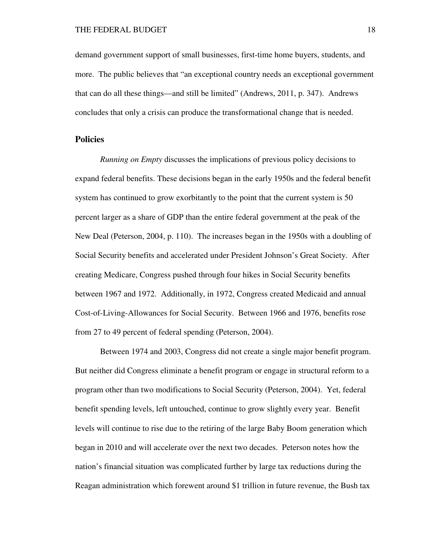demand government support of small businesses, first-time home buyers, students, and more. The public believes that "an exceptional country needs an exceptional government that can do all these things—and still be limited" (Andrews, 2011, p. 347). Andrews concludes that only a crisis can produce the transformational change that is needed.

### **Policies**

*Running on Empty* discusses the implications of previous policy decisions to expand federal benefits. These decisions began in the early 1950s and the federal benefit system has continued to grow exorbitantly to the point that the current system is 50 percent larger as a share of GDP than the entire federal government at the peak of the New Deal (Peterson, 2004, p. 110). The increases began in the 1950s with a doubling of Social Security benefits and accelerated under President Johnson's Great Society. After creating Medicare, Congress pushed through four hikes in Social Security benefits between 1967 and 1972. Additionally, in 1972, Congress created Medicaid and annual Cost-of-Living-Allowances for Social Security. Between 1966 and 1976, benefits rose from 27 to 49 percent of federal spending (Peterson, 2004).

Between 1974 and 2003, Congress did not create a single major benefit program. But neither did Congress eliminate a benefit program or engage in structural reform to a program other than two modifications to Social Security (Peterson, 2004). Yet, federal benefit spending levels, left untouched, continue to grow slightly every year. Benefit levels will continue to rise due to the retiring of the large Baby Boom generation which began in 2010 and will accelerate over the next two decades. Peterson notes how the nation's financial situation was complicated further by large tax reductions during the Reagan administration which forewent around \$1 trillion in future revenue, the Bush tax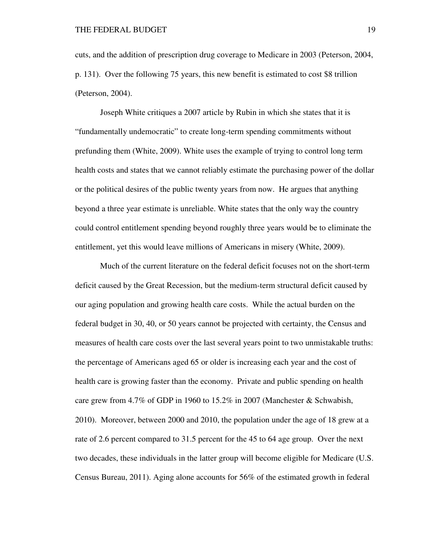cuts, and the addition of prescription drug coverage to Medicare in 2003 (Peterson, 2004, p. 131). Over the following 75 years, this new benefit is estimated to cost \$8 trillion (Peterson, 2004).

Joseph White critiques a 2007 article by Rubin in which she states that it is "fundamentally undemocratic" to create long-term spending commitments without prefunding them (White, 2009). White uses the example of trying to control long term health costs and states that we cannot reliably estimate the purchasing power of the dollar or the political desires of the public twenty years from now. He argues that anything beyond a three year estimate is unreliable. White states that the only way the country could control entitlement spending beyond roughly three years would be to eliminate the entitlement, yet this would leave millions of Americans in misery (White, 2009).

Much of the current literature on the federal deficit focuses not on the short-term deficit caused by the Great Recession, but the medium-term structural deficit caused by our aging population and growing health care costs. While the actual burden on the federal budget in 30, 40, or 50 years cannot be projected with certainty, the Census and measures of health care costs over the last several years point to two unmistakable truths: the percentage of Americans aged 65 or older is increasing each year and the cost of health care is growing faster than the economy. Private and public spending on health care grew from 4.7% of GDP in 1960 to 15.2% in 2007 (Manchester  $\&$  Schwabish, 2010). Moreover, between 2000 and 2010, the population under the age of 18 grew at a rate of 2.6 percent compared to 31.5 percent for the 45 to 64 age group. Over the next two decades, these individuals in the latter group will become eligible for Medicare (U.S. Census Bureau, 2011). Aging alone accounts for 56% of the estimated growth in federal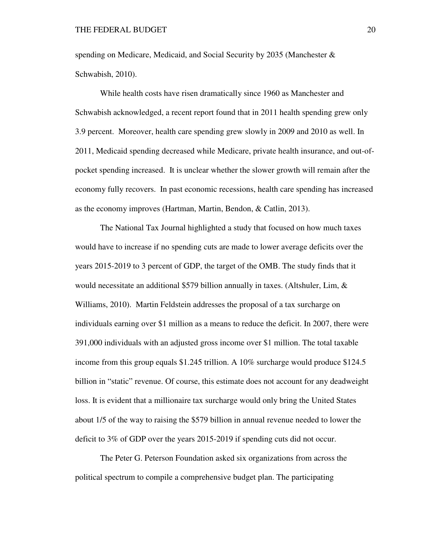spending on Medicare, Medicaid, and Social Security by 2035 (Manchester  $\&$ Schwabish, 2010).

While health costs have risen dramatically since 1960 as Manchester and Schwabish acknowledged, a recent report found that in 2011 health spending grew only 3.9 percent. Moreover, health care spending grew slowly in 2009 and 2010 as well. In 2011, Medicaid spending decreased while Medicare, private health insurance, and out-ofpocket spending increased. It is unclear whether the slower growth will remain after the economy fully recovers. In past economic recessions, health care spending has increased as the economy improves (Hartman, Martin, Bendon, & Catlin, 2013).

The National Tax Journal highlighted a study that focused on how much taxes would have to increase if no spending cuts are made to lower average deficits over the years 2015-2019 to 3 percent of GDP, the target of the OMB. The study finds that it would necessitate an additional \$579 billion annually in taxes. (Altshuler, Lim, & Williams, 2010). Martin Feldstein addresses the proposal of a tax surcharge on individuals earning over \$1 million as a means to reduce the deficit. In 2007, there were 391,000 individuals with an adjusted gross income over \$1 million. The total taxable income from this group equals \$1.245 trillion. A 10% surcharge would produce \$124.5 billion in "static" revenue. Of course, this estimate does not account for any deadweight loss. It is evident that a millionaire tax surcharge would only bring the United States about 1/5 of the way to raising the \$579 billion in annual revenue needed to lower the deficit to 3% of GDP over the years 2015-2019 if spending cuts did not occur.

The Peter G. Peterson Foundation asked six organizations from across the political spectrum to compile a comprehensive budget plan. The participating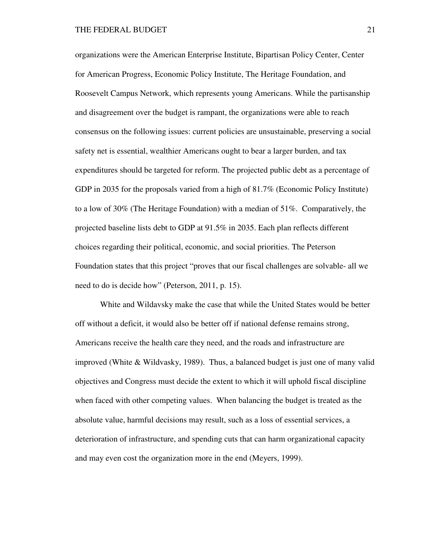organizations were the American Enterprise Institute, Bipartisan Policy Center, Center for American Progress, Economic Policy Institute, The Heritage Foundation, and Roosevelt Campus Network, which represents young Americans. While the partisanship and disagreement over the budget is rampant, the organizations were able to reach consensus on the following issues: current policies are unsustainable, preserving a social safety net is essential, wealthier Americans ought to bear a larger burden, and tax expenditures should be targeted for reform. The projected public debt as a percentage of GDP in 2035 for the proposals varied from a high of 81.7% (Economic Policy Institute) to a low of 30% (The Heritage Foundation) with a median of 51%. Comparatively, the projected baseline lists debt to GDP at 91.5% in 2035. Each plan reflects different choices regarding their political, economic, and social priorities. The Peterson Foundation states that this project "proves that our fiscal challenges are solvable- all we need to do is decide how" (Peterson, 2011, p. 15).

White and Wildavsky make the case that while the United States would be better off without a deficit, it would also be better off if national defense remains strong, Americans receive the health care they need, and the roads and infrastructure are improved (White  $\&$  Wildvasky, 1989). Thus, a balanced budget is just one of many valid objectives and Congress must decide the extent to which it will uphold fiscal discipline when faced with other competing values. When balancing the budget is treated as the absolute value, harmful decisions may result, such as a loss of essential services, a deterioration of infrastructure, and spending cuts that can harm organizational capacity and may even cost the organization more in the end (Meyers, 1999).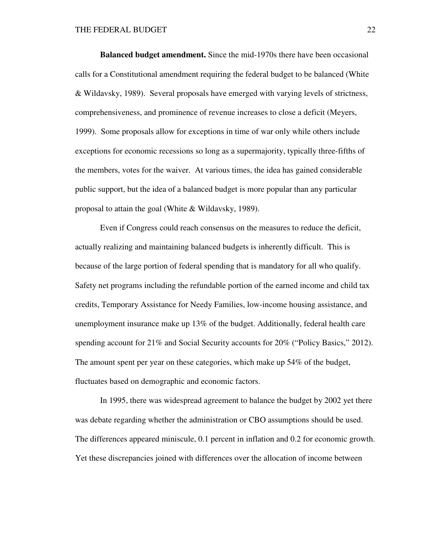**Balanced budget amendment.** Since the mid-1970s there have been occasional calls for a Constitutional amendment requiring the federal budget to be balanced (White & Wildavsky, 1989). Several proposals have emerged with varying levels of strictness, comprehensiveness, and prominence of revenue increases to close a deficit (Meyers, 1999). Some proposals allow for exceptions in time of war only while others include exceptions for economic recessions so long as a supermajority, typically three-fifths of the members, votes for the waiver. At various times, the idea has gained considerable public support, but the idea of a balanced budget is more popular than any particular proposal to attain the goal (White & Wildavsky, 1989).

Even if Congress could reach consensus on the measures to reduce the deficit, actually realizing and maintaining balanced budgets is inherently difficult. This is because of the large portion of federal spending that is mandatory for all who qualify. Safety net programs including the refundable portion of the earned income and child tax credits, Temporary Assistance for Needy Families, low-income housing assistance, and unemployment insurance make up 13% of the budget. Additionally, federal health care spending account for 21% and Social Security accounts for 20% ("Policy Basics," 2012). The amount spent per year on these categories, which make up 54% of the budget, fluctuates based on demographic and economic factors.

In 1995, there was widespread agreement to balance the budget by 2002 yet there was debate regarding whether the administration or CBO assumptions should be used. The differences appeared miniscule, 0.1 percent in inflation and 0.2 for economic growth. Yet these discrepancies joined with differences over the allocation of income between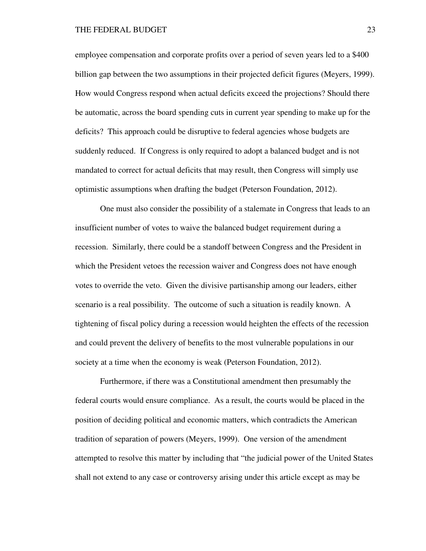employee compensation and corporate profits over a period of seven years led to a \$400 billion gap between the two assumptions in their projected deficit figures (Meyers, 1999). How would Congress respond when actual deficits exceed the projections? Should there be automatic, across the board spending cuts in current year spending to make up for the deficits? This approach could be disruptive to federal agencies whose budgets are suddenly reduced. If Congress is only required to adopt a balanced budget and is not mandated to correct for actual deficits that may result, then Congress will simply use optimistic assumptions when drafting the budget (Peterson Foundation, 2012).

 One must also consider the possibility of a stalemate in Congress that leads to an insufficient number of votes to waive the balanced budget requirement during a recession. Similarly, there could be a standoff between Congress and the President in which the President vetoes the recession waiver and Congress does not have enough votes to override the veto. Given the divisive partisanship among our leaders, either scenario is a real possibility. The outcome of such a situation is readily known. A tightening of fiscal policy during a recession would heighten the effects of the recession and could prevent the delivery of benefits to the most vulnerable populations in our society at a time when the economy is weak (Peterson Foundation, 2012).

Furthermore, if there was a Constitutional amendment then presumably the federal courts would ensure compliance. As a result, the courts would be placed in the position of deciding political and economic matters, which contradicts the American tradition of separation of powers (Meyers, 1999). One version of the amendment attempted to resolve this matter by including that "the judicial power of the United States shall not extend to any case or controversy arising under this article except as may be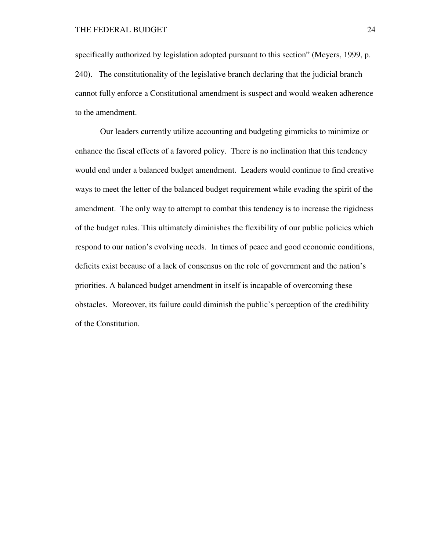specifically authorized by legislation adopted pursuant to this section" (Meyers, 1999, p. 240). The constitutionality of the legislative branch declaring that the judicial branch cannot fully enforce a Constitutional amendment is suspect and would weaken adherence to the amendment.

Our leaders currently utilize accounting and budgeting gimmicks to minimize or enhance the fiscal effects of a favored policy. There is no inclination that this tendency would end under a balanced budget amendment. Leaders would continue to find creative ways to meet the letter of the balanced budget requirement while evading the spirit of the amendment. The only way to attempt to combat this tendency is to increase the rigidness of the budget rules. This ultimately diminishes the flexibility of our public policies which respond to our nation's evolving needs. In times of peace and good economic conditions, deficits exist because of a lack of consensus on the role of government and the nation's priorities. A balanced budget amendment in itself is incapable of overcoming these obstacles. Moreover, its failure could diminish the public's perception of the credibility of the Constitution.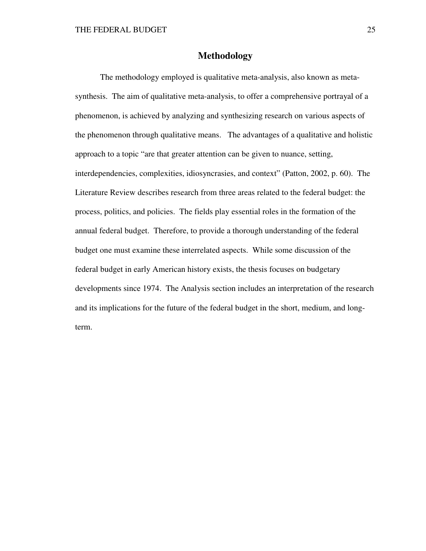### **Methodology**

The methodology employed is qualitative meta-analysis, also known as metasynthesis. The aim of qualitative meta-analysis, to offer a comprehensive portrayal of a phenomenon, is achieved by analyzing and synthesizing research on various aspects of the phenomenon through qualitative means. The advantages of a qualitative and holistic approach to a topic "are that greater attention can be given to nuance, setting, interdependencies, complexities, idiosyncrasies, and context" (Patton, 2002, p. 60). The Literature Review describes research from three areas related to the federal budget: the process, politics, and policies. The fields play essential roles in the formation of the annual federal budget. Therefore, to provide a thorough understanding of the federal budget one must examine these interrelated aspects. While some discussion of the federal budget in early American history exists, the thesis focuses on budgetary developments since 1974. The Analysis section includes an interpretation of the research and its implications for the future of the federal budget in the short, medium, and longterm.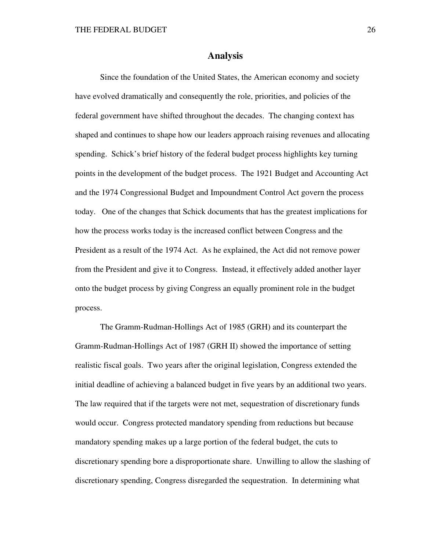#### **Analysis**

Since the foundation of the United States, the American economy and society have evolved dramatically and consequently the role, priorities, and policies of the federal government have shifted throughout the decades. The changing context has shaped and continues to shape how our leaders approach raising revenues and allocating spending. Schick's brief history of the federal budget process highlights key turning points in the development of the budget process. The 1921 Budget and Accounting Act and the 1974 Congressional Budget and Impoundment Control Act govern the process today. One of the changes that Schick documents that has the greatest implications for how the process works today is the increased conflict between Congress and the President as a result of the 1974 Act. As he explained, the Act did not remove power from the President and give it to Congress. Instead, it effectively added another layer onto the budget process by giving Congress an equally prominent role in the budget process.

The Gramm-Rudman-Hollings Act of 1985 (GRH) and its counterpart the Gramm-Rudman-Hollings Act of 1987 (GRH II) showed the importance of setting realistic fiscal goals. Two years after the original legislation, Congress extended the initial deadline of achieving a balanced budget in five years by an additional two years. The law required that if the targets were not met, sequestration of discretionary funds would occur. Congress protected mandatory spending from reductions but because mandatory spending makes up a large portion of the federal budget, the cuts to discretionary spending bore a disproportionate share. Unwilling to allow the slashing of discretionary spending, Congress disregarded the sequestration. In determining what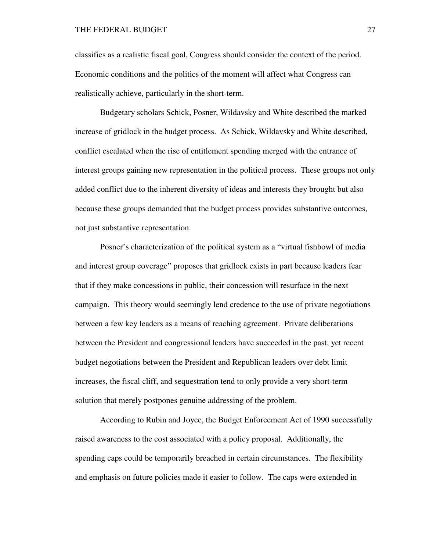classifies as a realistic fiscal goal, Congress should consider the context of the period. Economic conditions and the politics of the moment will affect what Congress can realistically achieve, particularly in the short-term.

Budgetary scholars Schick, Posner, Wildavsky and White described the marked increase of gridlock in the budget process. As Schick, Wildavsky and White described, conflict escalated when the rise of entitlement spending merged with the entrance of interest groups gaining new representation in the political process. These groups not only added conflict due to the inherent diversity of ideas and interests they brought but also because these groups demanded that the budget process provides substantive outcomes, not just substantive representation.

Posner's characterization of the political system as a "virtual fishbowl of media and interest group coverage" proposes that gridlock exists in part because leaders fear that if they make concessions in public, their concession will resurface in the next campaign. This theory would seemingly lend credence to the use of private negotiations between a few key leaders as a means of reaching agreement. Private deliberations between the President and congressional leaders have succeeded in the past, yet recent budget negotiations between the President and Republican leaders over debt limit increases, the fiscal cliff, and sequestration tend to only provide a very short-term solution that merely postpones genuine addressing of the problem.

According to Rubin and Joyce, the Budget Enforcement Act of 1990 successfully raised awareness to the cost associated with a policy proposal. Additionally, the spending caps could be temporarily breached in certain circumstances. The flexibility and emphasis on future policies made it easier to follow. The caps were extended in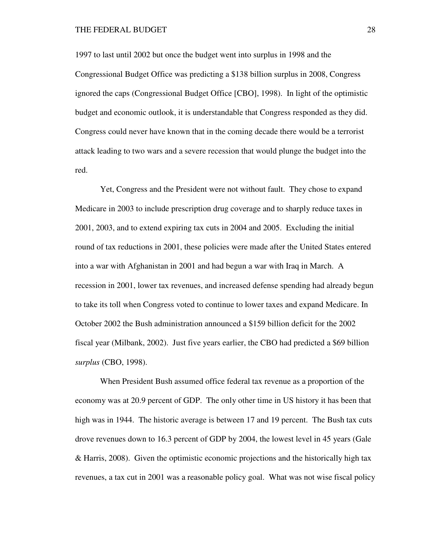#### THE FEDERAL BUDGET 28

1997 to last until 2002 but once the budget went into surplus in 1998 and the Congressional Budget Office was predicting a \$138 billion surplus in 2008, Congress ignored the caps (Congressional Budget Office [CBO], 1998). In light of the optimistic budget and economic outlook, it is understandable that Congress responded as they did. Congress could never have known that in the coming decade there would be a terrorist attack leading to two wars and a severe recession that would plunge the budget into the red.

Yet, Congress and the President were not without fault. They chose to expand Medicare in 2003 to include prescription drug coverage and to sharply reduce taxes in 2001, 2003, and to extend expiring tax cuts in 2004 and 2005. Excluding the initial round of tax reductions in 2001, these policies were made after the United States entered into a war with Afghanistan in 2001 and had begun a war with Iraq in March. A recession in 2001, lower tax revenues, and increased defense spending had already begun to take its toll when Congress voted to continue to lower taxes and expand Medicare. In October 2002 the Bush administration announced a \$159 billion deficit for the 2002 fiscal year (Milbank, 2002). Just five years earlier, the CBO had predicted a \$69 billion *surplus* (CBO, 1998).

When President Bush assumed office federal tax revenue as a proportion of the economy was at 20.9 percent of GDP. The only other time in US history it has been that high was in 1944. The historic average is between 17 and 19 percent. The Bush tax cuts drove revenues down to 16.3 percent of GDP by 2004, the lowest level in 45 years (Gale & Harris, 2008). Given the optimistic economic projections and the historically high tax revenues, a tax cut in 2001 was a reasonable policy goal. What was not wise fiscal policy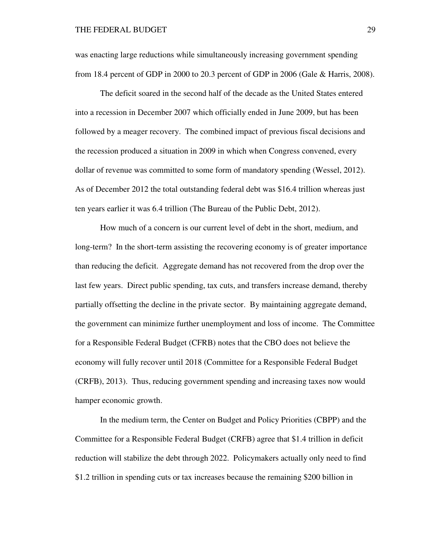was enacting large reductions while simultaneously increasing government spending from 18.4 percent of GDP in 2000 to 20.3 percent of GDP in 2006 (Gale & Harris, 2008).

The deficit soared in the second half of the decade as the United States entered into a recession in December 2007 which officially ended in June 2009, but has been followed by a meager recovery. The combined impact of previous fiscal decisions and the recession produced a situation in 2009 in which when Congress convened, every dollar of revenue was committed to some form of mandatory spending (Wessel, 2012). As of December 2012 the total outstanding federal debt was \$16.4 trillion whereas just ten years earlier it was 6.4 trillion (The Bureau of the Public Debt, 2012).

How much of a concern is our current level of debt in the short, medium, and long-term? In the short-term assisting the recovering economy is of greater importance than reducing the deficit. Aggregate demand has not recovered from the drop over the last few years. Direct public spending, tax cuts, and transfers increase demand, thereby partially offsetting the decline in the private sector. By maintaining aggregate demand, the government can minimize further unemployment and loss of income. The Committee for a Responsible Federal Budget (CFRB) notes that the CBO does not believe the economy will fully recover until 2018 (Committee for a Responsible Federal Budget (CRFB), 2013). Thus, reducing government spending and increasing taxes now would hamper economic growth.

In the medium term, the Center on Budget and Policy Priorities (CBPP) and the Committee for a Responsible Federal Budget (CRFB) agree that \$1.4 trillion in deficit reduction will stabilize the debt through 2022. Policymakers actually only need to find \$1.2 trillion in spending cuts or tax increases because the remaining \$200 billion in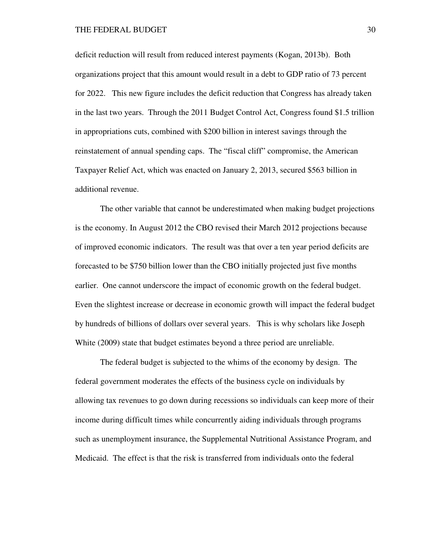deficit reduction will result from reduced interest payments (Kogan, 2013b). Both organizations project that this amount would result in a debt to GDP ratio of 73 percent for 2022. This new figure includes the deficit reduction that Congress has already taken in the last two years. Through the 2011 Budget Control Act, Congress found \$1.5 trillion in appropriations cuts, combined with \$200 billion in interest savings through the reinstatement of annual spending caps. The "fiscal cliff" compromise, the American Taxpayer Relief Act, which was enacted on January 2, 2013, secured \$563 billion in additional revenue.

The other variable that cannot be underestimated when making budget projections is the economy. In August 2012 the CBO revised their March 2012 projections because of improved economic indicators. The result was that over a ten year period deficits are forecasted to be \$750 billion lower than the CBO initially projected just five months earlier. One cannot underscore the impact of economic growth on the federal budget. Even the slightest increase or decrease in economic growth will impact the federal budget by hundreds of billions of dollars over several years. This is why scholars like Joseph White (2009) state that budget estimates beyond a three period are unreliable.

The federal budget is subjected to the whims of the economy by design. The federal government moderates the effects of the business cycle on individuals by allowing tax revenues to go down during recessions so individuals can keep more of their income during difficult times while concurrently aiding individuals through programs such as unemployment insurance, the Supplemental Nutritional Assistance Program, and Medicaid. The effect is that the risk is transferred from individuals onto the federal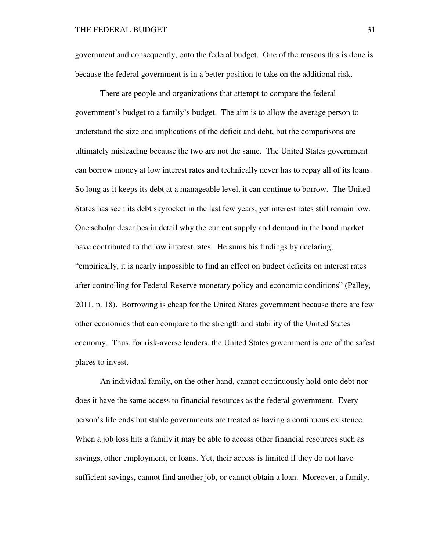government and consequently, onto the federal budget. One of the reasons this is done is because the federal government is in a better position to take on the additional risk.

There are people and organizations that attempt to compare the federal government's budget to a family's budget. The aim is to allow the average person to understand the size and implications of the deficit and debt, but the comparisons are ultimately misleading because the two are not the same. The United States government can borrow money at low interest rates and technically never has to repay all of its loans. So long as it keeps its debt at a manageable level, it can continue to borrow. The United States has seen its debt skyrocket in the last few years, yet interest rates still remain low. One scholar describes in detail why the current supply and demand in the bond market have contributed to the low interest rates. He sums his findings by declaring, "empirically, it is nearly impossible to find an effect on budget deficits on interest rates after controlling for Federal Reserve monetary policy and economic conditions" (Palley, 2011, p. 18). Borrowing is cheap for the United States government because there are few other economies that can compare to the strength and stability of the United States economy. Thus, for risk-averse lenders, the United States government is one of the safest places to invest.

An individual family, on the other hand, cannot continuously hold onto debt nor does it have the same access to financial resources as the federal government. Every person's life ends but stable governments are treated as having a continuous existence. When a job loss hits a family it may be able to access other financial resources such as savings, other employment, or loans. Yet, their access is limited if they do not have sufficient savings, cannot find another job, or cannot obtain a loan. Moreover, a family,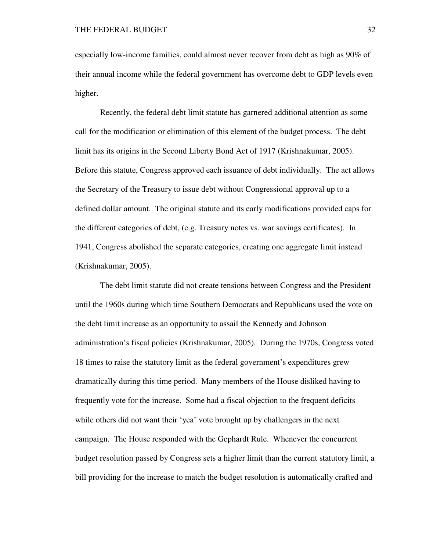especially low-income families, could almost never recover from debt as high as 90% of their annual income while the federal government has overcome debt to GDP levels even higher.

Recently, the federal debt limit statute has garnered additional attention as some call for the modification or elimination of this element of the budget process. The debt limit has its origins in the Second Liberty Bond Act of 1917 (Krishnakumar, 2005). Before this statute, Congress approved each issuance of debt individually. The act allows the Secretary of the Treasury to issue debt without Congressional approval up to a defined dollar amount. The original statute and its early modifications provided caps for the different categories of debt, (e.g. Treasury notes vs. war savings certificates). In 1941, Congress abolished the separate categories, creating one aggregate limit instead (Krishnakumar, 2005).

The debt limit statute did not create tensions between Congress and the President until the 1960s during which time Southern Democrats and Republicans used the vote on the debt limit increase as an opportunity to assail the Kennedy and Johnson administration's fiscal policies (Krishnakumar, 2005). During the 1970s, Congress voted 18 times to raise the statutory limit as the federal government's expenditures grew dramatically during this time period. Many members of the House disliked having to frequently vote for the increase. Some had a fiscal objection to the frequent deficits while others did not want their 'yea' vote brought up by challengers in the next campaign. The House responded with the Gephardt Rule. Whenever the concurrent budget resolution passed by Congress sets a higher limit than the current statutory limit, a bill providing for the increase to match the budget resolution is automatically crafted and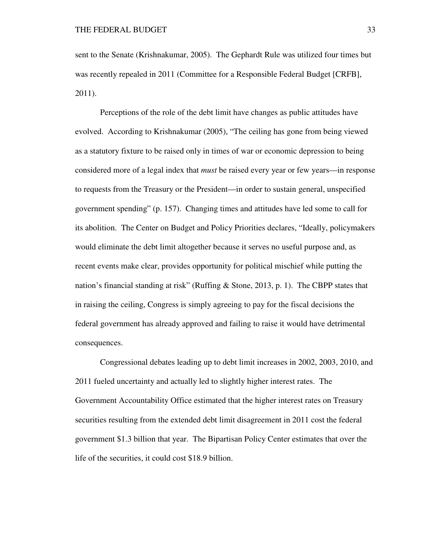sent to the Senate (Krishnakumar, 2005). The Gephardt Rule was utilized four times but was recently repealed in 2011 (Committee for a Responsible Federal Budget [CRFB], 2011).

Perceptions of the role of the debt limit have changes as public attitudes have evolved. According to Krishnakumar (2005), "The ceiling has gone from being viewed as a statutory fixture to be raised only in times of war or economic depression to being considered more of a legal index that *must* be raised every year or few years—in response to requests from the Treasury or the President—in order to sustain general, unspecified government spending" (p. 157). Changing times and attitudes have led some to call for its abolition. The Center on Budget and Policy Priorities declares, "Ideally, policymakers would eliminate the debt limit altogether because it serves no useful purpose and, as recent events make clear, provides opportunity for political mischief while putting the nation's financial standing at risk" (Ruffing & Stone, 2013, p. 1). The CBPP states that in raising the ceiling, Congress is simply agreeing to pay for the fiscal decisions the federal government has already approved and failing to raise it would have detrimental consequences.

Congressional debates leading up to debt limit increases in 2002, 2003, 2010, and 2011 fueled uncertainty and actually led to slightly higher interest rates. The Government Accountability Office estimated that the higher interest rates on Treasury securities resulting from the extended debt limit disagreement in 2011 cost the federal government \$1.3 billion that year. The Bipartisan Policy Center estimates that over the life of the securities, it could cost \$18.9 billion.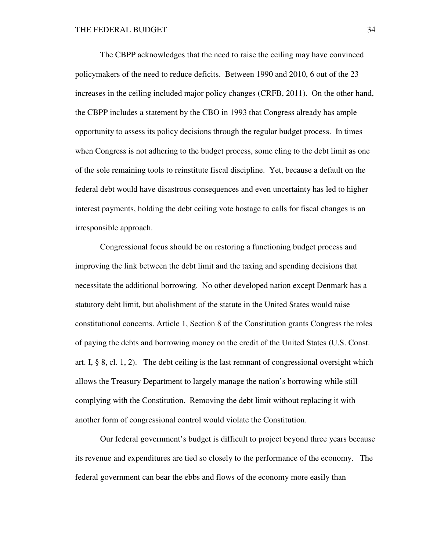The CBPP acknowledges that the need to raise the ceiling may have convinced policymakers of the need to reduce deficits. Between 1990 and 2010, 6 out of the 23 increases in the ceiling included major policy changes (CRFB, 2011). On the other hand, the CBPP includes a statement by the CBO in 1993 that Congress already has ample opportunity to assess its policy decisions through the regular budget process. In times when Congress is not adhering to the budget process, some cling to the debt limit as one of the sole remaining tools to reinstitute fiscal discipline. Yet, because a default on the federal debt would have disastrous consequences and even uncertainty has led to higher interest payments, holding the debt ceiling vote hostage to calls for fiscal changes is an irresponsible approach.

Congressional focus should be on restoring a functioning budget process and improving the link between the debt limit and the taxing and spending decisions that necessitate the additional borrowing. No other developed nation except Denmark has a statutory debt limit, but abolishment of the statute in the United States would raise constitutional concerns. Article 1, Section 8 of the Constitution grants Congress the roles of paying the debts and borrowing money on the credit of the United States (U.S. Const. art. I,  $\S$  8, cl. 1, 2). The debt ceiling is the last remnant of congressional oversight which allows the Treasury Department to largely manage the nation's borrowing while still complying with the Constitution. Removing the debt limit without replacing it with another form of congressional control would violate the Constitution.

Our federal government's budget is difficult to project beyond three years because its revenue and expenditures are tied so closely to the performance of the economy. The federal government can bear the ebbs and flows of the economy more easily than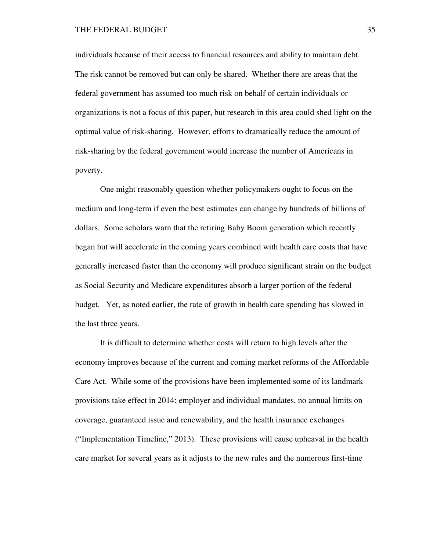#### THE FEDERAL BUDGET 35

individuals because of their access to financial resources and ability to maintain debt. The risk cannot be removed but can only be shared. Whether there are areas that the federal government has assumed too much risk on behalf of certain individuals or organizations is not a focus of this paper, but research in this area could shed light on the optimal value of risk-sharing. However, efforts to dramatically reduce the amount of risk-sharing by the federal government would increase the number of Americans in poverty.

One might reasonably question whether policymakers ought to focus on the medium and long-term if even the best estimates can change by hundreds of billions of dollars. Some scholars warn that the retiring Baby Boom generation which recently began but will accelerate in the coming years combined with health care costs that have generally increased faster than the economy will produce significant strain on the budget as Social Security and Medicare expenditures absorb a larger portion of the federal budget. Yet, as noted earlier, the rate of growth in health care spending has slowed in the last three years.

It is difficult to determine whether costs will return to high levels after the economy improves because of the current and coming market reforms of the Affordable Care Act. While some of the provisions have been implemented some of its landmark provisions take effect in 2014: employer and individual mandates, no annual limits on coverage, guaranteed issue and renewability, and the health insurance exchanges ("Implementation Timeline," 2013). These provisions will cause upheaval in the health care market for several years as it adjusts to the new rules and the numerous first-time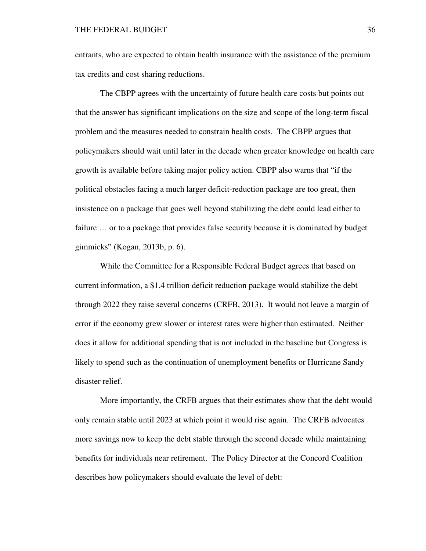entrants, who are expected to obtain health insurance with the assistance of the premium tax credits and cost sharing reductions.

The CBPP agrees with the uncertainty of future health care costs but points out that the answer has significant implications on the size and scope of the long-term fiscal problem and the measures needed to constrain health costs. The CBPP argues that policymakers should wait until later in the decade when greater knowledge on health care growth is available before taking major policy action. CBPP also warns that "if the political obstacles facing a much larger deficit-reduction package are too great, then insistence on a package that goes well beyond stabilizing the debt could lead either to failure … or to a package that provides false security because it is dominated by budget gimmicks" (Kogan, 2013b, p. 6).

While the Committee for a Responsible Federal Budget agrees that based on current information, a \$1.4 trillion deficit reduction package would stabilize the debt through 2022 they raise several concerns (CRFB, 2013). It would not leave a margin of error if the economy grew slower or interest rates were higher than estimated. Neither does it allow for additional spending that is not included in the baseline but Congress is likely to spend such as the continuation of unemployment benefits or Hurricane Sandy disaster relief.

More importantly, the CRFB argues that their estimates show that the debt would only remain stable until 2023 at which point it would rise again. The CRFB advocates more savings now to keep the debt stable through the second decade while maintaining benefits for individuals near retirement. The Policy Director at the Concord Coalition describes how policymakers should evaluate the level of debt: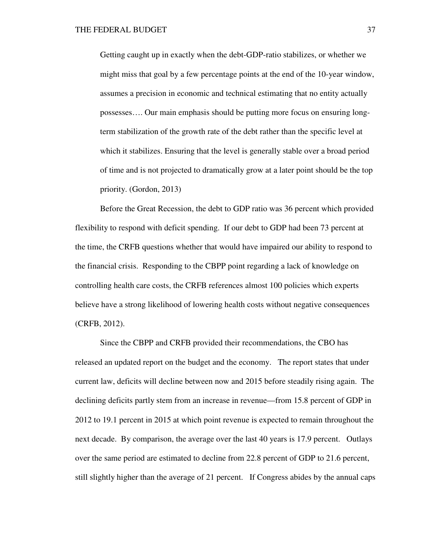Getting caught up in exactly when the debt-GDP-ratio stabilizes, or whether we might miss that goal by a few percentage points at the end of the 10-year window, assumes a precision in economic and technical estimating that no entity actually possesses…. Our main emphasis should be putting more focus on ensuring longterm stabilization of the growth rate of the debt rather than the specific level at which it stabilizes. Ensuring that the level is generally stable over a broad period of time and is not projected to dramatically grow at a later point should be the top priority. (Gordon, 2013)

Before the Great Recession, the debt to GDP ratio was 36 percent which provided flexibility to respond with deficit spending. If our debt to GDP had been 73 percent at the time, the CRFB questions whether that would have impaired our ability to respond to the financial crisis. Responding to the CBPP point regarding a lack of knowledge on controlling health care costs, the CRFB references almost 100 policies which experts believe have a strong likelihood of lowering health costs without negative consequences (CRFB, 2012).

Since the CBPP and CRFB provided their recommendations, the CBO has released an updated report on the budget and the economy. The report states that under current law, deficits will decline between now and 2015 before steadily rising again. The declining deficits partly stem from an increase in revenue—from 15.8 percent of GDP in 2012 to 19.1 percent in 2015 at which point revenue is expected to remain throughout the next decade. By comparison, the average over the last 40 years is 17.9 percent. Outlays over the same period are estimated to decline from 22.8 percent of GDP to 21.6 percent, still slightly higher than the average of 21 percent. If Congress abides by the annual caps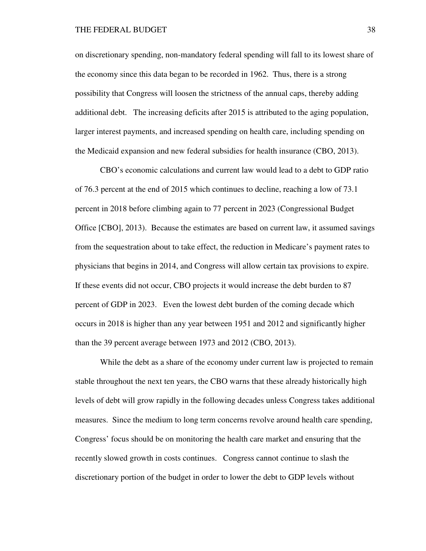on discretionary spending, non-mandatory federal spending will fall to its lowest share of the economy since this data began to be recorded in 1962. Thus, there is a strong possibility that Congress will loosen the strictness of the annual caps, thereby adding additional debt. The increasing deficits after 2015 is attributed to the aging population, larger interest payments, and increased spending on health care, including spending on the Medicaid expansion and new federal subsidies for health insurance (CBO, 2013).

CBO's economic calculations and current law would lead to a debt to GDP ratio of 76.3 percent at the end of 2015 which continues to decline, reaching a low of 73.1 percent in 2018 before climbing again to 77 percent in 2023 (Congressional Budget Office [CBO], 2013). Because the estimates are based on current law, it assumed savings from the sequestration about to take effect, the reduction in Medicare's payment rates to physicians that begins in 2014, and Congress will allow certain tax provisions to expire. If these events did not occur, CBO projects it would increase the debt burden to 87 percent of GDP in 2023. Even the lowest debt burden of the coming decade which occurs in 2018 is higher than any year between 1951 and 2012 and significantly higher than the 39 percent average between 1973 and 2012 (CBO, 2013).

While the debt as a share of the economy under current law is projected to remain stable throughout the next ten years, the CBO warns that these already historically high levels of debt will grow rapidly in the following decades unless Congress takes additional measures. Since the medium to long term concerns revolve around health care spending, Congress' focus should be on monitoring the health care market and ensuring that the recently slowed growth in costs continues. Congress cannot continue to slash the discretionary portion of the budget in order to lower the debt to GDP levels without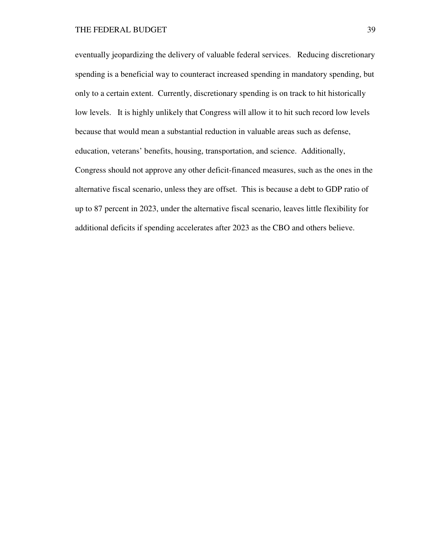eventually jeopardizing the delivery of valuable federal services. Reducing discretionary spending is a beneficial way to counteract increased spending in mandatory spending, but only to a certain extent. Currently, discretionary spending is on track to hit historically low levels. It is highly unlikely that Congress will allow it to hit such record low levels because that would mean a substantial reduction in valuable areas such as defense, education, veterans' benefits, housing, transportation, and science. Additionally, Congress should not approve any other deficit-financed measures, such as the ones in the alternative fiscal scenario, unless they are offset. This is because a debt to GDP ratio of up to 87 percent in 2023, under the alternative fiscal scenario, leaves little flexibility for additional deficits if spending accelerates after 2023 as the CBO and others believe.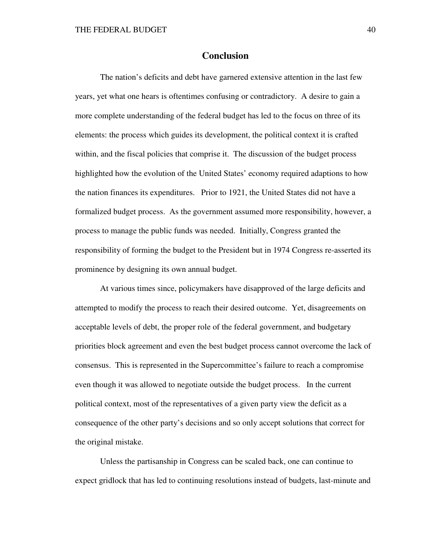# **Conclusion**

The nation's deficits and debt have garnered extensive attention in the last few years, yet what one hears is oftentimes confusing or contradictory. A desire to gain a more complete understanding of the federal budget has led to the focus on three of its elements: the process which guides its development, the political context it is crafted within, and the fiscal policies that comprise it. The discussion of the budget process highlighted how the evolution of the United States' economy required adaptions to how the nation finances its expenditures. Prior to 1921, the United States did not have a formalized budget process. As the government assumed more responsibility, however, a process to manage the public funds was needed. Initially, Congress granted the responsibility of forming the budget to the President but in 1974 Congress re-asserted its prominence by designing its own annual budget.

At various times since, policymakers have disapproved of the large deficits and attempted to modify the process to reach their desired outcome. Yet, disagreements on acceptable levels of debt, the proper role of the federal government, and budgetary priorities block agreement and even the best budget process cannot overcome the lack of consensus. This is represented in the Supercommittee's failure to reach a compromise even though it was allowed to negotiate outside the budget process. In the current political context, most of the representatives of a given party view the deficit as a consequence of the other party's decisions and so only accept solutions that correct for the original mistake.

Unless the partisanship in Congress can be scaled back, one can continue to expect gridlock that has led to continuing resolutions instead of budgets, last-minute and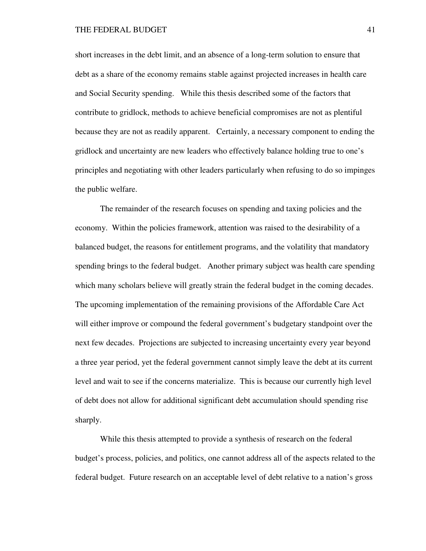short increases in the debt limit, and an absence of a long-term solution to ensure that debt as a share of the economy remains stable against projected increases in health care and Social Security spending. While this thesis described some of the factors that contribute to gridlock, methods to achieve beneficial compromises are not as plentiful because they are not as readily apparent. Certainly, a necessary component to ending the gridlock and uncertainty are new leaders who effectively balance holding true to one's principles and negotiating with other leaders particularly when refusing to do so impinges the public welfare.

The remainder of the research focuses on spending and taxing policies and the economy. Within the policies framework, attention was raised to the desirability of a balanced budget, the reasons for entitlement programs, and the volatility that mandatory spending brings to the federal budget. Another primary subject was health care spending which many scholars believe will greatly strain the federal budget in the coming decades. The upcoming implementation of the remaining provisions of the Affordable Care Act will either improve or compound the federal government's budgetary standpoint over the next few decades. Projections are subjected to increasing uncertainty every year beyond a three year period, yet the federal government cannot simply leave the debt at its current level and wait to see if the concerns materialize. This is because our currently high level of debt does not allow for additional significant debt accumulation should spending rise sharply.

While this thesis attempted to provide a synthesis of research on the federal budget's process, policies, and politics, one cannot address all of the aspects related to the federal budget. Future research on an acceptable level of debt relative to a nation's gross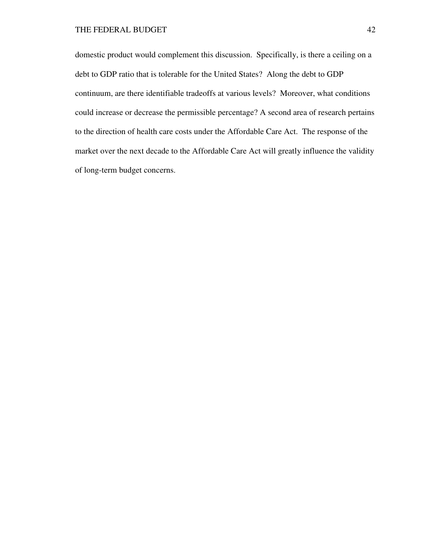domestic product would complement this discussion. Specifically, is there a ceiling on a debt to GDP ratio that is tolerable for the United States? Along the debt to GDP continuum, are there identifiable tradeoffs at various levels? Moreover, what conditions could increase or decrease the permissible percentage? A second area of research pertains to the direction of health care costs under the Affordable Care Act. The response of the market over the next decade to the Affordable Care Act will greatly influence the validity of long-term budget concerns.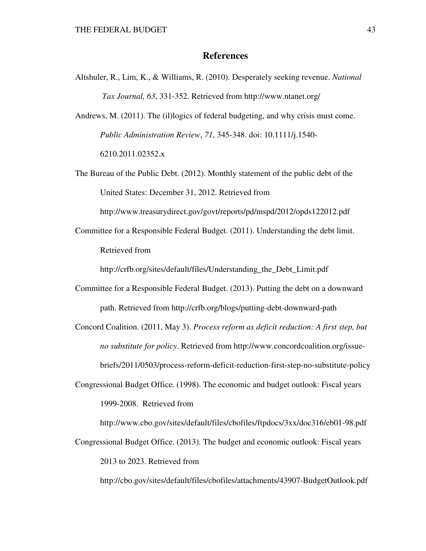# **References**

Altshuler, R., Lim, K., & Williams, R. (2010). Desperately seeking revenue. *National Tax Journal, 63*, 331-352. Retrieved from http://www.ntanet.org/

Andrews, M. (2011). The (il)logics of federal budgeting, and why crisis must come. *Public Administration Review*, *71*, 345-348. doi: 10.1111/j.1540- 6210.2011.02352.x

The Bureau of the Public Debt. (2012). Monthly statement of the public debt of the United States: December 31, 2012. Retrieved from

http://www.treasurydirect.gov/govt/reports/pd/mspd/2012/opds122012.pdf

Committee for a Responsible Federal Budget. (2011). Understanding the debt limit. Retrieved from

http://crfb.org/sites/default/files/Understanding the Debt Limit.pdf

- Committee for a Responsible Federal Budget. (2013). Putting the debt on a downward path. Retrieved from http://crfb.org/blogs/putting-debt-downward-path
- Concord Coalition. (2011, May 3). *Process reform as deficit reduction: A first step, but no substitute for policy*. Retrieved from http://www.concordcoalition.org/issue briefs/2011/0503/process-reform-deficit-reduction-first-step-no-substitute-policy
- Congressional Budget Office. (1998). The economic and budget outlook: Fiscal years 1999-2008. Retrieved from

http://www.cbo.gov/sites/default/files/cbofiles/ftpdocs/3xx/doc316/eb01-98.pdf

Congressional Budget Office. (2013). The budget and economic outlook: Fiscal years 2013 to 2023. Retrieved from

http://cbo.gov/sites/default/files/cbofiles/attachments/43907-BudgetOutlook.pdf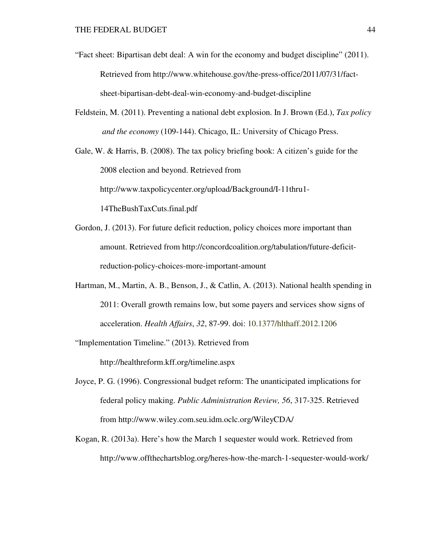- "Fact sheet: Bipartisan debt deal: A win for the economy and budget discipline" (2011). Retrieved from http://www.whitehouse.gov/the-press-office/2011/07/31/fact sheet-bipartisan-debt-deal-win-economy-and-budget-discipline
- Feldstein, M. (2011). Preventing a national debt explosion. In J. Brown (Ed.), *Tax policy and the economy* (109-144). Chicago, IL: University of Chicago Press.

Gale, W. & Harris, B. (2008). The tax policy briefing book: A citizen's guide for the 2008 election and beyond. Retrieved from http://www.taxpolicycenter.org/upload/Background/I-11thru1- 14TheBushTaxCuts.final.pdf

- Gordon, J. (2013). For future deficit reduction, policy choices more important than amount. Retrieved from http://concordcoalition.org/tabulation/future-deficit reduction-policy-choices-more-important-amount
- Hartman, M., Martin, A. B., Benson, J., & Catlin, A. (2013). National health spending in 2011: Overall growth remains low, but some payers and services show signs of acceleration. *Health Affairs*, *32*, 87-99. doi: 10.1377/hlthaff.2012.1206
- "Implementation Timeline." (2013). Retrieved from

http://healthreform.kff.org/timeline.aspx

- Joyce, P. G. (1996). Congressional budget reform: The unanticipated implications for federal policy making. *Public Administration Review, 56*, 317-325. Retrieved from http://www.wiley.com.seu.idm.oclc.org/WileyCDA/
- Kogan, R. (2013a). Here's how the March 1 sequester would work. Retrieved from http://www.offthechartsblog.org/heres-how-the-march-1-sequester-would-work/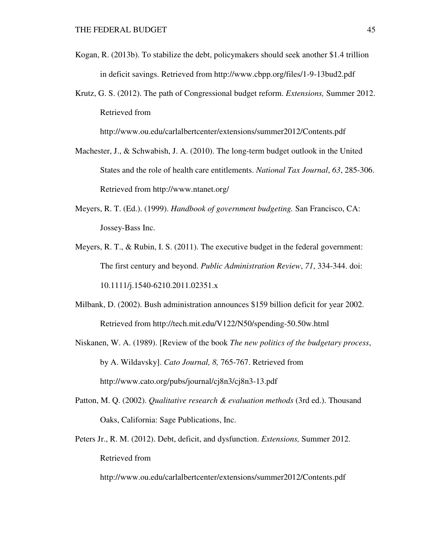- Kogan, R. (2013b). To stabilize the debt, policymakers should seek another \$1.4 trillion in deficit savings. Retrieved from http://www.cbpp.org/files/1-9-13bud2.pdf
- Krutz, G. S. (2012). The path of Congressional budget reform. *Extensions,* Summer 2012. Retrieved from

http://www.ou.edu/carlalbertcenter/extensions/summer2012/Contents.pdf

- Machester, J., & Schwabish, J. A. (2010). The long-term budget outlook in the United States and the role of health care entitlements. *National Tax Journal*, *63*, 285-306. Retrieved from http://www.ntanet.org/
- Meyers, R. T. (Ed.). (1999). *Handbook of government budgeting.* San Francisco, CA: Jossey-Bass Inc.
- Meyers, R. T., & Rubin, I. S. (2011). The executive budget in the federal government: The first century and beyond. *Public Administration Review*, *71*, 334-344. doi: 10.1111/j.1540-6210.2011.02351.x
- Milbank, D. (2002). Bush administration announces \$159 billion deficit for year 2002. Retrieved from http://tech.mit.edu/V122/N50/spending-50.50w.html
- Niskanen, W. A. (1989). [Review of the book *The new politics of the budgetary process*, by A. Wildavsky]. *Cato Journal, 8,* 765-767. Retrieved from http://www.cato.org/pubs/journal/cj8n3/cj8n3-13.pdf
- Patton, M. Q. (2002). *Qualitative research & evaluation methods* (3rd ed.). Thousand Oaks, California: Sage Publications, Inc.
- Peters Jr., R. M. (2012). Debt, deficit, and dysfunction. *Extensions,* Summer 2012. Retrieved from

http://www.ou.edu/carlalbertcenter/extensions/summer2012/Contents.pdf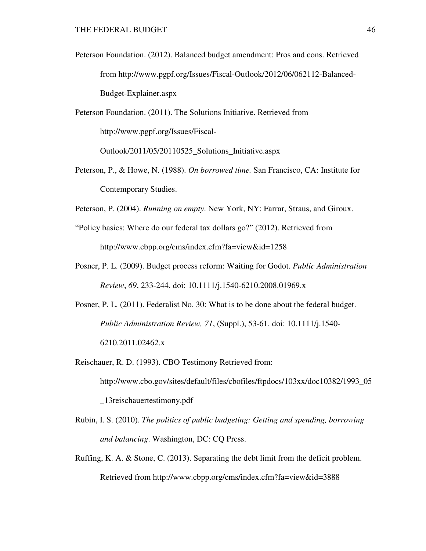Peterson Foundation. (2012). Balanced budget amendment: Pros and cons. Retrieved from http://www.pgpf.org/Issues/Fiscal-Outlook/2012/06/062112-Balanced- Budget-Explainer.aspx

Peterson Foundation. (2011). The Solutions Initiative. Retrieved from http://www.pgpf.org/Issues/Fiscal-

Outlook/2011/05/20110525\_Solutions\_Initiative.aspx

Peterson, P., & Howe, N. (1988). *On borrowed time.* San Francisco, CA: Institute for Contemporary Studies.

Peterson, P. (2004). *Running on empty*. New York, NY: Farrar, Straus, and Giroux.

- "Policy basics: Where do our federal tax dollars go?" (2012). Retrieved from http://www.cbpp.org/cms/index.cfm?fa=view&id=1258
- Posner, P. L. (2009). Budget process reform: Waiting for Godot. *Public Administration Review*, *69*, 233-244. doi: 10.1111/j.1540-6210.2008.01969.x
- Posner, P. L. (2011). Federalist No. 30: What is to be done about the federal budget. *Public Administration Review, 71*, (Suppl.), 53-61. doi: 10.1111/j.1540- 6210.2011.02462.x
- Reischauer, R. D. (1993). CBO Testimony Retrieved from: http://www.cbo.gov/sites/default/files/cbofiles/ftpdocs/103xx/doc10382/1993\_05 \_13reischauertestimony.pdf
- Rubin, I. S. (2010). *The politics of public budgeting: Getting and spending, borrowing and balancing*. Washington, DC: CQ Press.
- Ruffing, K. A. & Stone, C. (2013). Separating the debt limit from the deficit problem. Retrieved from http://www.cbpp.org/cms/index.cfm?fa=view&id=3888